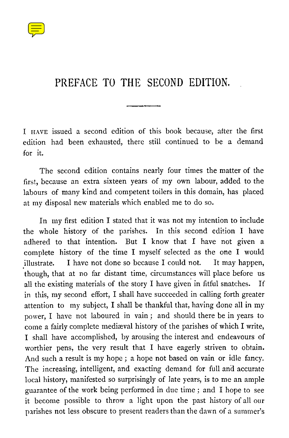

## PREFACE TO THE SECOND EDITION.

I HAVE issued a second edition of this book because, after the first edition had been exhausted, there still continued to be a demand for it.

The second edition contains nearly four times the matter of the first, because an extra sixteen years of my own labour, added to the labours of many kind and competent toilers in this domain, has placed at my disposal new materials which enabled me to do so.

In my first edition I stated that it was not my intention to include the whole history of the parishes. In this second edition I have adhered to that intention. But I know that I have not given a complete history of the time I myself selected as the one I would illustrate. I have not done so because I could not. It may happen, though, that at no far distant time, circumstances will place before us all the existing materials of the story I have given in fitful snatches. If in this, my second effort, I shall have succeeded in calling forth greater attention to my subject, I shall be thankful that, having done all in my power, I have not laboured in vain ; and should there be in years to come a fairly complete mediæval history of the parishes of which I write, I shall have accomplished, by arousing the interest and endeavours of worthier pens, the very result that I have eagerly striven to obtain. And such a result is my hope ; a hope not based on vain or idle fancy. The increasing, intelligent, and exacting demand for full and accurate local history, manifested so surprisingly of late years, is to me an ample guarantee of the work being performed in due time ; and I hope to see it become possible to throw a light upon the past history of all our parishes not less obscure to present readers than the dawn of a summer's